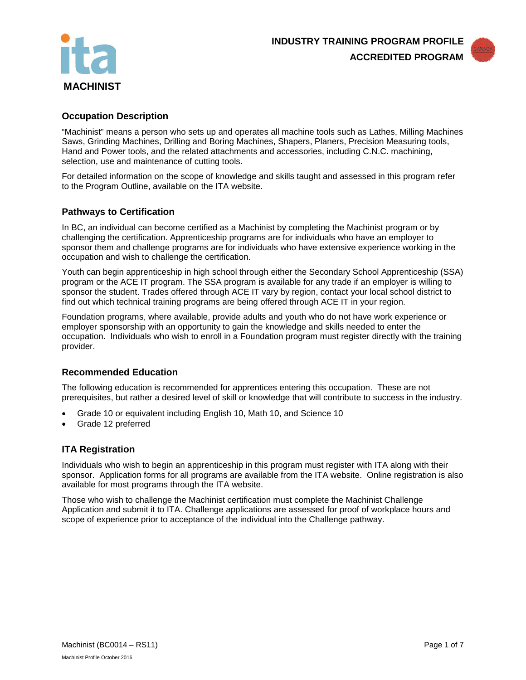



# **Occupation Description**

"Machinist" means a person who sets up and operates all machine tools such as Lathes, Milling Machines Saws, Grinding Machines, Drilling and Boring Machines, Shapers, Planers, Precision Measuring tools, Hand and Power tools, and the related attachments and accessories, including C.N.C. machining, selection, use and maintenance of cutting tools.

For detailed information on the scope of knowledge and skills taught and assessed in this program refer to the Program Outline, available on the ITA website.

## **Pathways to Certification**

In BC, an individual can become certified as a Machinist by completing the Machinist program or by challenging the certification. Apprenticeship programs are for individuals who have an employer to sponsor them and challenge programs are for individuals who have extensive experience working in the occupation and wish to challenge the certification.

Youth can begin apprenticeship in high school through either the Secondary School Apprenticeship (SSA) program or the ACE IT program. The SSA program is available for any trade if an employer is willing to sponsor the student. Trades offered through ACE IT vary by region, contact your local school district to find out which technical training programs are being offered through ACE IT in your region.

Foundation programs, where available, provide adults and youth who do not have work experience or employer sponsorship with an opportunity to gain the knowledge and skills needed to enter the occupation. Individuals who wish to enroll in a Foundation program must register directly with the training provider.

## **Recommended Education**

The following education is recommended for apprentices entering this occupation. These are not prerequisites, but rather a desired level of skill or knowledge that will contribute to success in the industry.

- Grade 10 or equivalent including English 10, Math 10, and Science 10
- Grade 12 preferred

## **ITA Registration**

Individuals who wish to begin an apprenticeship in this program must register with ITA along with their sponsor. Application forms for all programs are available from the ITA website. Online registration is also available for most programs through the ITA website.

Those who wish to challenge the Machinist certification must complete the Machinist Challenge Application and submit it to ITA. Challenge applications are assessed for proof of workplace hours and scope of experience prior to acceptance of the individual into the Challenge pathway.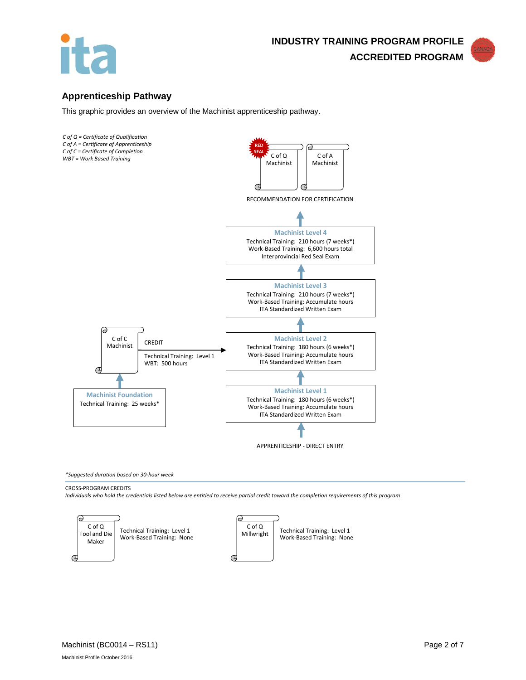



# **Apprenticeship Pathway**

This graphic provides an overview of the Machinist apprenticeship pathway.



*\*Suggested duration based on 30-hour week*

#### CROSS-PROGRAM CREDITS

*Individuals who hold the credentials listed below are entitled to receive partial credit toward the completion requirements of this program*

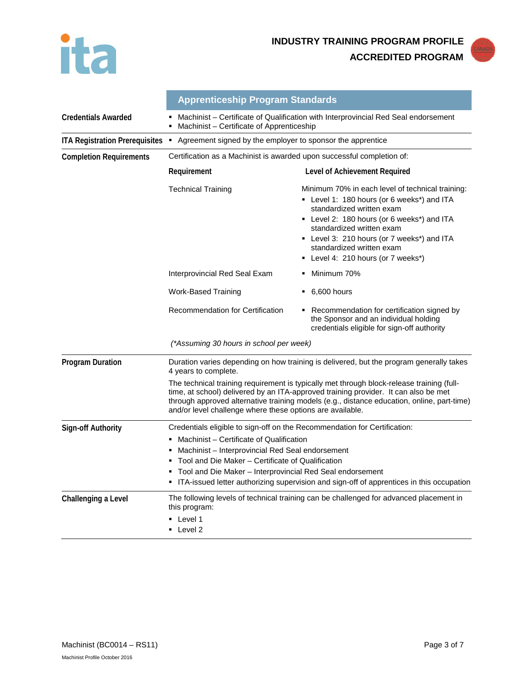



|                                | <b>Apprenticeship Program Standards</b>                                                                                                                                                                                                                                                                                                                                                   |                                                                                                                                                                                                                                                                                                                       |  |
|--------------------------------|-------------------------------------------------------------------------------------------------------------------------------------------------------------------------------------------------------------------------------------------------------------------------------------------------------------------------------------------------------------------------------------------|-----------------------------------------------------------------------------------------------------------------------------------------------------------------------------------------------------------------------------------------------------------------------------------------------------------------------|--|
| <b>Credentials Awarded</b>     | Machinist - Certificate of Qualification with Interprovincial Red Seal endorsement<br>Machinist - Certificate of Apprenticeship                                                                                                                                                                                                                                                           |                                                                                                                                                                                                                                                                                                                       |  |
|                                | ITA Registration Prerequisites • Agreement signed by the employer to sponsor the apprentice                                                                                                                                                                                                                                                                                               |                                                                                                                                                                                                                                                                                                                       |  |
| <b>Completion Requirements</b> | Certification as a Machinist is awarded upon successful completion of:                                                                                                                                                                                                                                                                                                                    |                                                                                                                                                                                                                                                                                                                       |  |
|                                | Requirement                                                                                                                                                                                                                                                                                                                                                                               | Level of Achievement Required                                                                                                                                                                                                                                                                                         |  |
|                                | <b>Technical Training</b>                                                                                                                                                                                                                                                                                                                                                                 | Minimum 70% in each level of technical training:<br>• Level 1: 180 hours (or 6 weeks*) and ITA<br>standardized written exam<br>• Level 2: 180 hours (or 6 weeks*) and ITA<br>standardized written exam<br>• Level 3: 210 hours (or 7 weeks*) and ITA<br>standardized written exam<br>Level 4: 210 hours (or 7 weeks*) |  |
|                                | Interprovincial Red Seal Exam                                                                                                                                                                                                                                                                                                                                                             | Minimum 70%                                                                                                                                                                                                                                                                                                           |  |
|                                | <b>Work-Based Training</b>                                                                                                                                                                                                                                                                                                                                                                | $-6,600$ hours                                                                                                                                                                                                                                                                                                        |  |
|                                | Recommendation for Certification                                                                                                                                                                                                                                                                                                                                                          | • Recommendation for certification signed by<br>the Sponsor and an individual holding<br>credentials eligible for sign-off authority                                                                                                                                                                                  |  |
|                                | (*Assuming 30 hours in school per week)                                                                                                                                                                                                                                                                                                                                                   |                                                                                                                                                                                                                                                                                                                       |  |
| <b>Program Duration</b>        | Duration varies depending on how training is delivered, but the program generally takes<br>4 years to complete.                                                                                                                                                                                                                                                                           |                                                                                                                                                                                                                                                                                                                       |  |
|                                | The technical training requirement is typically met through block-release training (full-<br>time, at school) delivered by an ITA-approved training provider. It can also be met<br>through approved alternative training models (e.g., distance education, online, part-time)<br>and/or level challenge where these options are available.                                               |                                                                                                                                                                                                                                                                                                                       |  |
| <b>Sign-off Authority</b>      | Credentials eligible to sign-off on the Recommendation for Certification:<br>Machinist - Certificate of Qualification<br>Machinist – Interprovincial Red Seal endorsement<br>Tool and Die Maker - Certificate of Qualification<br>Tool and Die Maker – Interprovincial Red Seal endorsement<br>• ITA-issued letter authorizing supervision and sign-off of apprentices in this occupation |                                                                                                                                                                                                                                                                                                                       |  |
| Challenging a Level            | this program:<br>■ Level 1<br>• Level 2                                                                                                                                                                                                                                                                                                                                                   | The following levels of technical training can be challenged for advanced placement in                                                                                                                                                                                                                                |  |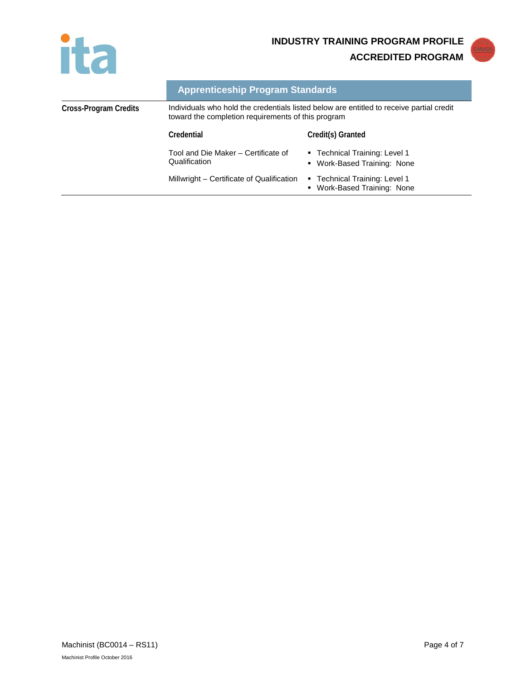



|                       | <b>Apprenticeship Program Standards</b>                                                                                                        |                                                              |
|-----------------------|------------------------------------------------------------------------------------------------------------------------------------------------|--------------------------------------------------------------|
| Cross-Program Credits | Individuals who hold the credentials listed below are entitled to receive partial credit<br>toward the completion requirements of this program |                                                              |
|                       | Credential                                                                                                                                     | Credit(s) Granted                                            |
|                       | Tool and Die Maker - Certificate of<br>Qualification                                                                                           | ■ Technical Training: Level 1<br>• Work-Based Training: None |
|                       | Millwright - Certificate of Qualification                                                                                                      | ■ Technical Training: Level 1<br>• Work-Based Training: None |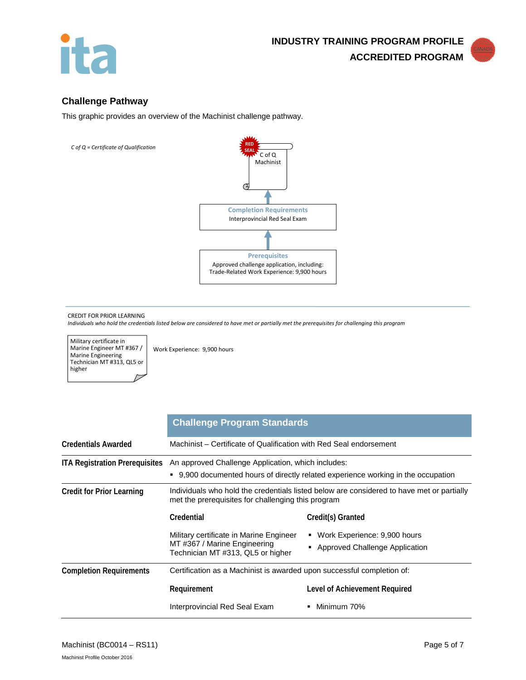



# **Challenge Pathway**

This graphic provides an overview of the Machinist challenge pathway.



#### CREDIT FOR PRIOR LEARNING

*Individuals who hold the credentials listed below are considered to have met or partially met the prerequisites for challenging this program*

Military certificate in Marine Engineer MT #367 / Marine Engineering Technician MT #313, QL5 or higher

Work Experience: 9,900 hours

|                                       | <b>Challenge Program Standards</b>                                                                                                              |                                                                |  |
|---------------------------------------|-------------------------------------------------------------------------------------------------------------------------------------------------|----------------------------------------------------------------|--|
| <b>Credentials Awarded</b>            | Machinist – Certificate of Qualification with Red Seal endorsement                                                                              |                                                                |  |
| <b>ITA Registration Prerequisites</b> | An approved Challenge Application, which includes:<br>■ 9,900 documented hours of directly related experience working in the occupation         |                                                                |  |
| <b>Credit for Prior Learning</b>      | Individuals who hold the credentials listed below are considered to have met or partially<br>met the prerequisites for challenging this program |                                                                |  |
|                                       | Credential                                                                                                                                      | Credit(s) Granted                                              |  |
|                                       | Military certificate in Marine Engineer<br>MT#367 / Marine Engineering<br>Technician MT #313, QL5 or higher                                     | Work Experience: 9,900 hours<br>Approved Challenge Application |  |
| <b>Completion Requirements</b>        | Certification as a Machinist is awarded upon successful completion of:                                                                          |                                                                |  |
|                                       | Requirement                                                                                                                                     | Level of Achievement Required                                  |  |
|                                       | Interprovincial Red Seal Exam                                                                                                                   | Minimum 70%                                                    |  |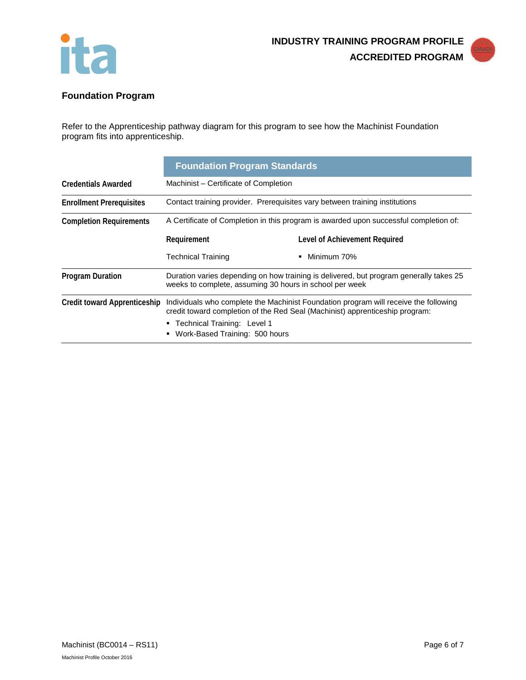



# **Foundation Program**

Refer to the Apprenticeship pathway diagram for this program to see how the Machinist Foundation program fits into apprenticeship.

|                                     | <b>Foundation Program Standards</b>                                                                                                                                                                                                     |                               |  |
|-------------------------------------|-----------------------------------------------------------------------------------------------------------------------------------------------------------------------------------------------------------------------------------------|-------------------------------|--|
| <b>Credentials Awarded</b>          | Machinist – Certificate of Completion                                                                                                                                                                                                   |                               |  |
| <b>Enrollment Prerequisites</b>     | Contact training provider. Prerequisites vary between training institutions                                                                                                                                                             |                               |  |
| <b>Completion Requirements</b>      | A Certificate of Completion in this program is awarded upon successful completion of:                                                                                                                                                   |                               |  |
|                                     | Requirement                                                                                                                                                                                                                             | Level of Achievement Required |  |
|                                     | <b>Technical Training</b>                                                                                                                                                                                                               | Minimum 70%                   |  |
| <b>Program Duration</b>             | Duration varies depending on how training is delivered, but program generally takes 25<br>weeks to complete, assuming 30 hours in school per week                                                                                       |                               |  |
| <b>Credit toward Apprenticeship</b> | Individuals who complete the Machinist Foundation program will receive the following<br>credit toward completion of the Red Seal (Machinist) apprenticeship program:<br>■ Technical Training: Level 1<br>Work-Based Training: 500 hours |                               |  |